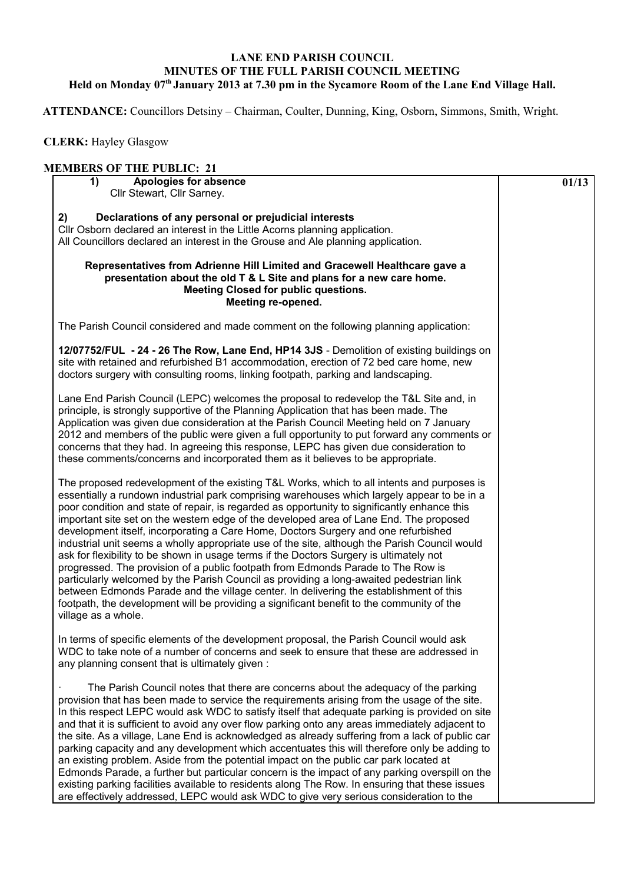## **LANE END PARISH COUNCIL MINUTES OF THE FULL PARISH COUNCIL MEETING Held on Monday 07th January 2013 at 7.30 pm in the Sycamore Room of the Lane End Village Hall.**

 **ATTENDANCE:** Councillors Detsiny – Chairman, Coulter, Dunning, King, Osborn, Simmons, Smith, Wright.

 **CLERK:** Hayley Glasgow

## **MEMBERS OF THE PUBLIC: 21**

| 1)<br><b>Apologies for absence</b><br>Cllr Stewart, Cllr Sarney.                                                                                                                                                                                                                                                                                                                                                                                                                                                                                                                                                                                                                                                                                                                                                                                                                                                                                                                                                                                                   | 01/13 |
|--------------------------------------------------------------------------------------------------------------------------------------------------------------------------------------------------------------------------------------------------------------------------------------------------------------------------------------------------------------------------------------------------------------------------------------------------------------------------------------------------------------------------------------------------------------------------------------------------------------------------------------------------------------------------------------------------------------------------------------------------------------------------------------------------------------------------------------------------------------------------------------------------------------------------------------------------------------------------------------------------------------------------------------------------------------------|-------|
| Declarations of any personal or prejudicial interests<br>2)<br>CIIr Osborn declared an interest in the Little Acorns planning application.<br>All Councillors declared an interest in the Grouse and Ale planning application.                                                                                                                                                                                                                                                                                                                                                                                                                                                                                                                                                                                                                                                                                                                                                                                                                                     |       |
| Representatives from Adrienne Hill Limited and Gracewell Healthcare gave a<br>presentation about the old T & L Site and plans for a new care home.<br>Meeting Closed for public questions.<br>Meeting re-opened.                                                                                                                                                                                                                                                                                                                                                                                                                                                                                                                                                                                                                                                                                                                                                                                                                                                   |       |
| The Parish Council considered and made comment on the following planning application:                                                                                                                                                                                                                                                                                                                                                                                                                                                                                                                                                                                                                                                                                                                                                                                                                                                                                                                                                                              |       |
| 12/07752/FUL - 24 - 26 The Row, Lane End, HP14 3JS - Demolition of existing buildings on<br>site with retained and refurbished B1 accommodation, erection of 72 bed care home, new<br>doctors surgery with consulting rooms, linking footpath, parking and landscaping.                                                                                                                                                                                                                                                                                                                                                                                                                                                                                                                                                                                                                                                                                                                                                                                            |       |
| Lane End Parish Council (LEPC) welcomes the proposal to redevelop the T&L Site and, in<br>principle, is strongly supportive of the Planning Application that has been made. The<br>Application was given due consideration at the Parish Council Meeting held on 7 January<br>2012 and members of the public were given a full opportunity to put forward any comments or<br>concerns that they had. In agreeing this response, LEPC has given due consideration to<br>these comments/concerns and incorporated them as it believes to be appropriate.                                                                                                                                                                                                                                                                                                                                                                                                                                                                                                             |       |
| The proposed redevelopment of the existing T&L Works, which to all intents and purposes is<br>essentially a rundown industrial park comprising warehouses which largely appear to be in a<br>poor condition and state of repair, is regarded as opportunity to significantly enhance this<br>important site set on the western edge of the developed area of Lane End. The proposed<br>development itself, incorporating a Care Home, Doctors Surgery and one refurbished<br>industrial unit seems a wholly appropriate use of the site, although the Parish Council would<br>ask for flexibility to be shown in usage terms if the Doctors Surgery is ultimately not<br>progressed. The provision of a public footpath from Edmonds Parade to The Row is<br>particularly welcomed by the Parish Council as providing a long-awaited pedestrian link<br>between Edmonds Parade and the village center. In delivering the establishment of this<br>footpath, the development will be providing a significant benefit to the community of the<br>village as a whole. |       |
| In terms of specific elements of the development proposal, the Parish Council would ask<br>WDC to take note of a number of concerns and seek to ensure that these are addressed in<br>any planning consent that is ultimately given:                                                                                                                                                                                                                                                                                                                                                                                                                                                                                                                                                                                                                                                                                                                                                                                                                               |       |
| The Parish Council notes that there are concerns about the adequacy of the parking<br>provision that has been made to service the requirements arising from the usage of the site.<br>In this respect LEPC would ask WDC to satisfy itself that adequate parking is provided on site<br>and that it is sufficient to avoid any over flow parking onto any areas immediately adjacent to<br>the site. As a village, Lane End is acknowledged as already suffering from a lack of public car<br>parking capacity and any development which accentuates this will therefore only be adding to<br>an existing problem. Aside from the potential impact on the public car park located at<br>Edmonds Parade, a further but particular concern is the impact of any parking overspill on the<br>existing parking facilities available to residents along The Row. In ensuring that these issues<br>are effectively addressed, LEPC would ask WDC to give very serious consideration to the                                                                               |       |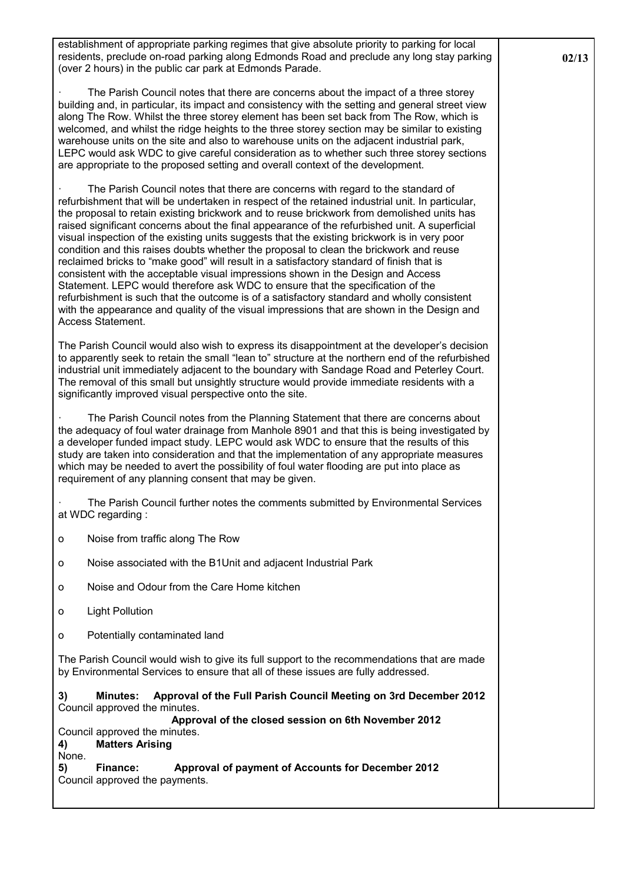establishment of appropriate parking regimes that give absolute priority to parking for local residents, preclude on-road parking along Edmonds Road and preclude any long stay parking (over 2 hours) in the public car park at Edmonds Parade.

The Parish Council notes that there are concerns about the impact of a three storey building and, in particular, its impact and consistency with the setting and general street view along The Row. Whilst the three storey element has been set back from The Row, which is welcomed, and whilst the ridge heights to the three storey section may be similar to existing warehouse units on the site and also to warehouse units on the adjacent industrial park, LEPC would ask WDC to give careful consideration as to whether such three storey sections are appropriate to the proposed setting and overall context of the development.

The Parish Council notes that there are concerns with regard to the standard of refurbishment that will be undertaken in respect of the retained industrial unit. In particular, the proposal to retain existing brickwork and to reuse brickwork from demolished units has raised significant concerns about the final appearance of the refurbished unit. A superficial visual inspection of the existing units suggests that the existing brickwork is in very poor condition and this raises doubts whether the proposal to clean the brickwork and reuse reclaimed bricks to "make good" will result in a satisfactory standard of finish that is consistent with the acceptable visual impressions shown in the Design and Access Statement. LEPC would therefore ask WDC to ensure that the specification of the refurbishment is such that the outcome is of a satisfactory standard and wholly consistent with the appearance and quality of the visual impressions that are shown in the Design and Access Statement.

The Parish Council would also wish to express its disappointment at the developer's decision to apparently seek to retain the small "lean to" structure at the northern end of the refurbished industrial unit immediately adjacent to the boundary with Sandage Road and Peterley Court. The removal of this small but unsightly structure would provide immediate residents with a significantly improved visual perspective onto the site.

The Parish Council notes from the Planning Statement that there are concerns about the adequacy of foul water drainage from Manhole 8901 and that this is being investigated by a developer funded impact study. LEPC would ask WDC to ensure that the results of this study are taken into consideration and that the implementation of any appropriate measures which may be needed to avert the possibility of foul water flooding are put into place as requirement of any planning consent that may be given.

The Parish Council further notes the comments submitted by Environmental Services at WDC regarding :

- o Noise from traffic along The Row
- o Noise associated with the B1Unit and adjacent Industrial Park
- o Noise and Odour from the Care Home kitchen
- o Light Pollution
- o Potentially contaminated land

The Parish Council would wish to give its full support to the recommendations that are made by Environmental Services to ensure that all of these issues are fully addressed.

**3) Minutes: Approval of the Full Parish Council Meeting on 3rd December 2012** Council approved the minutes.

**Approval of the closed session on 6th November 2012** 

- Council approved the minutes. **4) Matters Arising**
- None.

**5) Finance: Approval of payment of Accounts for December 2012**  Council approved the payments.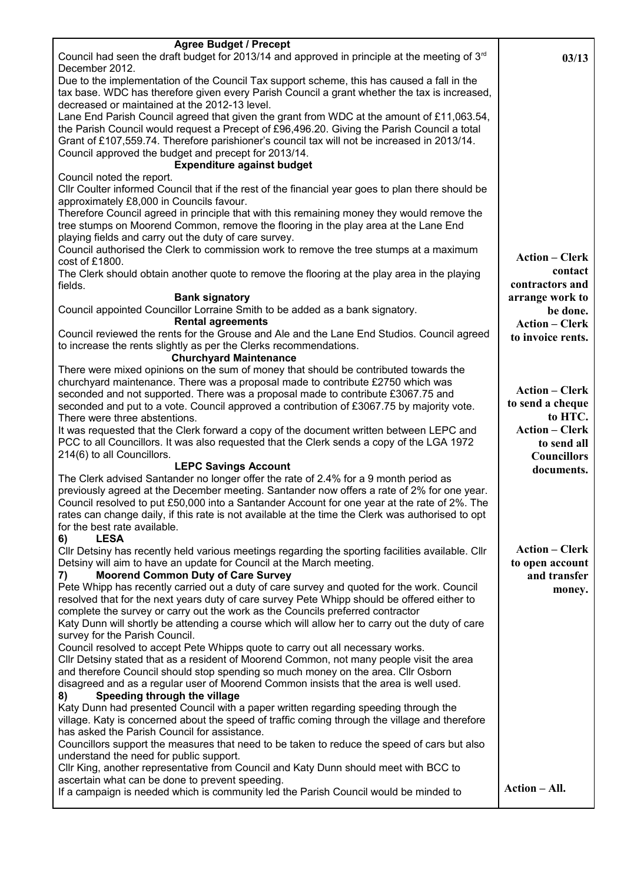| <b>Agree Budget / Precept</b>                                                                                                                                                     |                       |
|-----------------------------------------------------------------------------------------------------------------------------------------------------------------------------------|-----------------------|
| Council had seen the draft budget for 2013/14 and approved in principle at the meeting of $3rd$                                                                                   | 03/13                 |
| December 2012.                                                                                                                                                                    |                       |
| Due to the implementation of the Council Tax support scheme, this has caused a fall in the                                                                                        |                       |
| tax base. WDC has therefore given every Parish Council a grant whether the tax is increased,                                                                                      |                       |
| decreased or maintained at the 2012-13 level.                                                                                                                                     |                       |
| Lane End Parish Council agreed that given the grant from WDC at the amount of £11,063.54,                                                                                         |                       |
| the Parish Council would request a Precept of £96,496.20. Giving the Parish Council a total                                                                                       |                       |
| Grant of £107,559.74. Therefore parishioner's council tax will not be increased in 2013/14.                                                                                       |                       |
| Council approved the budget and precept for 2013/14.                                                                                                                              |                       |
| <b>Expenditure against budget</b>                                                                                                                                                 |                       |
| Council noted the report.                                                                                                                                                         |                       |
| CIIr Coulter informed Council that if the rest of the financial year goes to plan there should be                                                                                 |                       |
| approximately £8,000 in Councils favour.                                                                                                                                          |                       |
| Therefore Council agreed in principle that with this remaining money they would remove the<br>tree stumps on Moorend Common, remove the flooring in the play area at the Lane End |                       |
| playing fields and carry out the duty of care survey.                                                                                                                             |                       |
| Council authorised the Clerk to commission work to remove the tree stumps at a maximum                                                                                            |                       |
| cost of £1800.                                                                                                                                                                    | <b>Action – Clerk</b> |
| The Clerk should obtain another quote to remove the flooring at the play area in the playing                                                                                      | contact               |
| fields.                                                                                                                                                                           | contractors and       |
| <b>Bank signatory</b>                                                                                                                                                             | arrange work to       |
| Council appointed Councillor Lorraine Smith to be added as a bank signatory.                                                                                                      | be done.              |
| <b>Rental agreements</b>                                                                                                                                                          | <b>Action – Clerk</b> |
| Council reviewed the rents for the Grouse and Ale and the Lane End Studios. Council agreed                                                                                        | to invoice rents.     |
| to increase the rents slightly as per the Clerks recommendations.                                                                                                                 |                       |
| <b>Churchyard Maintenance</b>                                                                                                                                                     |                       |
| There were mixed opinions on the sum of money that should be contributed towards the                                                                                              |                       |
| churchyard maintenance. There was a proposal made to contribute £2750 which was                                                                                                   | <b>Action – Clerk</b> |
| seconded and not supported. There was a proposal made to contribute £3067.75 and                                                                                                  |                       |
| seconded and put to a vote. Council approved a contribution of £3067.75 by majority vote.                                                                                         | to send a cheque      |
| There were three abstentions.                                                                                                                                                     | to HTC.               |
| It was requested that the Clerk forward a copy of the document written between LEPC and                                                                                           | <b>Action – Clerk</b> |
| PCC to all Councillors. It was also requested that the Clerk sends a copy of the LGA 1972                                                                                         | to send all           |
| 214(6) to all Councillors.                                                                                                                                                        | <b>Councillors</b>    |
| <b>LEPC Savings Account</b><br>The Clerk advised Santander no longer offer the rate of 2.4% for a 9 month period as                                                               | documents.            |
| previously agreed at the December meeting. Santander now offers a rate of 2% for one year.                                                                                        |                       |
| Council resolved to put £50,000 into a Santander Account for one year at the rate of 2%. The                                                                                      |                       |
| rates can change daily, if this rate is not available at the time the Clerk was authorised to opt                                                                                 |                       |
| for the best rate available.                                                                                                                                                      |                       |
| <b>LESA</b><br>6)                                                                                                                                                                 |                       |
| CIIr Detsiny has recently held various meetings regarding the sporting facilities available. CIIr                                                                                 | <b>Action – Clerk</b> |
| Detsiny will aim to have an update for Council at the March meeting.                                                                                                              | to open account       |
| <b>Moorend Common Duty of Care Survey</b><br>7)                                                                                                                                   | and transfer          |
| Pete Whipp has recently carried out a duty of care survey and quoted for the work. Council                                                                                        | money.                |
| resolved that for the next years duty of care survey Pete Whipp should be offered either to                                                                                       |                       |
| complete the survey or carry out the work as the Councils preferred contractor                                                                                                    |                       |
| Katy Dunn will shortly be attending a course which will allow her to carry out the duty of care                                                                                   |                       |
| survey for the Parish Council.                                                                                                                                                    |                       |
| Council resolved to accept Pete Whipps quote to carry out all necessary works.                                                                                                    |                       |
| Cllr Detsiny stated that as a resident of Moorend Common, not many people visit the area                                                                                          |                       |
| and therefore Council should stop spending so much money on the area. Cllr Osborn                                                                                                 |                       |
| disagreed and as a regular user of Moorend Common insists that the area is well used.<br>Speeding through the village                                                             |                       |
| 8)<br>Katy Dunn had presented Council with a paper written regarding speeding through the                                                                                         |                       |
| village. Katy is concerned about the speed of traffic coming through the village and therefore                                                                                    |                       |
| has asked the Parish Council for assistance.                                                                                                                                      |                       |
| Councillors support the measures that need to be taken to reduce the speed of cars but also                                                                                       |                       |
| understand the need for public support.                                                                                                                                           |                       |
| Cllr King, another representative from Council and Katy Dunn should meet with BCC to                                                                                              |                       |
| ascertain what can be done to prevent speeding.                                                                                                                                   |                       |
| If a campaign is needed which is community led the Parish Council would be minded to                                                                                              | Action - All.         |